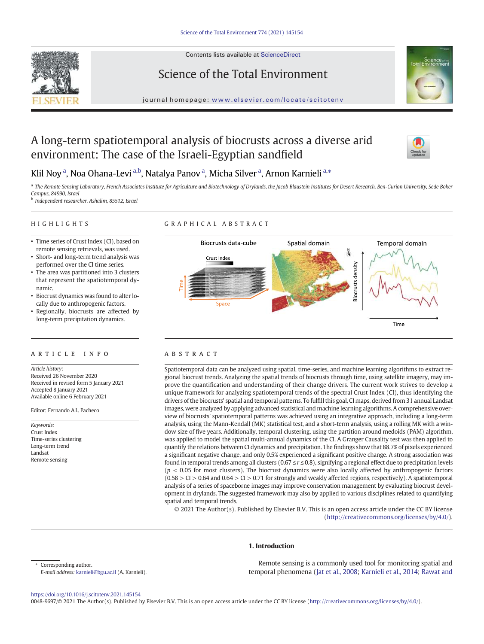Contents lists available at [ScienceDirect](http://www.sciencedirect.com/science/journal/)





# Science of the Total Environment

journal homepage: <www.elsevier.com/locate/scitotenv>

# A long-term spatiotemporal analysis of biocrusts across a diverse arid environment: The case of the Israeli-Egyptian sandfield



# Klil Noy <sup>a</sup>, Noa Ohana-Levi <sup>a,b</sup>, Natalya Panov <sup>a</sup>, Micha Silver <sup>a</sup>, Arnon Karnieli <sup>a,</sup>\*

<sup>a</sup> The Remote Sensing Laboratory, French Associates Institute for Agriculture and Biotechnology of Drylands, the Jacob Blaustein Institutes for Desert Research, Ben-Gurion University, Sede Boker *Campus, 84990, Israel*

b *Independent researcher, Ashalim, 85512, Israel*

# HIGHLIGHTS

# GRAPHICAL ABSTRACT

- Time series of Crust Index (CI), based on remote sensing retrievals, was used.
- Short- and long-term trend analysis was performed over the CI time series.
- The area was partitioned into 3 clusters that represent the spatiotemporal dynamic.
- Biocrust dynamics was found to alter locally due to anthropogenic factors.
- Regionally, biocrusts are affected by long-term precipitation dynamics.

## article info abstract

*Article history:* Received 26 November 2020 Received in revised form 5 January 2021 Accepted 8 January 2021 Available online 6 February 2021

Editor: Fernando A.L. Pacheco

*Keywords:* Crust Index Time-series clustering Long-term trend Landsat Remote sensing



Spatiotemporal data can be analyzed using spatial, time-series, and machine learning algorithms to extract regional biocrust trends. Analyzing the spatial trends of biocrusts through time, using satellite imagery, may improve the quantification and understanding of their change drivers. The current work strives to develop a unique framework for analyzing spatiotemporal trends of the spectral Crust Index (CI), thus identifying the drivers of the biocrusts' spatial and temporal patterns. To fulfill this goal, CI maps, derived from 31 annual Landsat images, were analyzed by applying advanced statistical and machine learning algorithms. A comprehensive overview of biocrusts' spatiotemporal patterns was achieved using an integrative approach, including a long-term analysis, using the Mann-Kendall (MK) statistical test, and a short-term analysis, using a rolling MK with a window size of five years. Additionally, temporal clustering, using the partition around medoids (PAM) algorithm, was applied to model the spatial multi-annual dynamics of the CI. A Granger Causality test was then applied to quantify the relations between CI dynamics and precipitation. The findings show that 88.7% of pixels experienced a significant negative change, and only 0.5% experienced a significant positive change. A strong association was found in temporal trends among all clusters (0.67 ≤ *r* ≤ 0.8), signifying a regional effect due to precipitation levels  $(p < 0.05$  for most clusters). The biocrust dynamics were also locally affected by anthropogenic factors  $(0.58 > CI > 0.64$  and  $0.64 > CI > 0.71$  for strongly and weakly affected regions, respectively). A spatiotemporal analysis of a series of spaceborne images may improve conservation management by evaluating biocrust development in drylands. The suggested framework may also by applied to various disciplines related to quantifying spatial and temporal trends.

© 2021 The Author(s). Published by Elsevier B.V. This is an open access article under the CC BY license [\(http://creativecommons.org/licenses/by/4.0/](http://creativecommons.org/licenses/by/4.0/)).

## 1. Introduction

Corresponding author. *E-mail address:* [karnieli@bgu.ac.il](mailto:karnieli@bgu.ac.il) (A. Karnieli).

Remote sensing is a commonly used tool for monitoring spatial and temporal phenomena [\(Jat et al., 2008;](#page-11-0) [Karnieli et al., 2014](#page-11-0); [Rawat and](#page-12-0)

<https://doi.org/10.1016/j.scitotenv.2021.145154>

0048-9697/© 2021 The Author(s). Published by Elsevier B.V. This is an open access article under the CC BY license [\(http://creativecommons.org/licenses/by/4.0/\)](http://creativecommons.org/licenses/by/4.0/).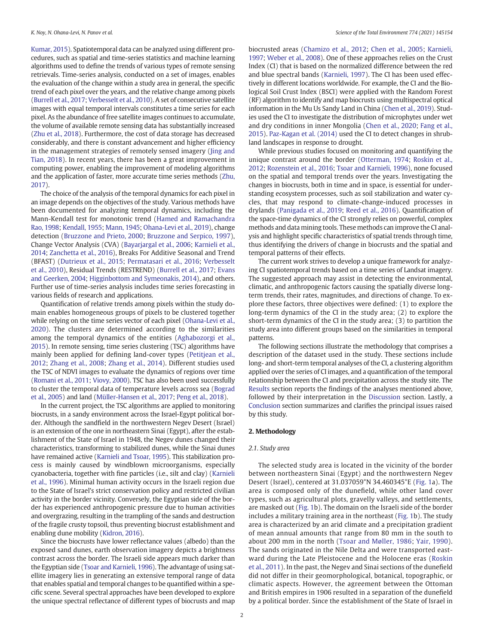<span id="page-1-0"></span>[Kumar, 2015](#page-12-0)). Spatiotemporal data can be analyzed using different procedures, such as spatial and time-series statistics and machine learning algorithms used to define the trends of various types of remote sensing retrievals. Time-series analysis, conducted on a set of images, enables the evaluation of the change within a study area in general, the specific trend of each pixel over the years, and the relative change among pixels ([Burrell et al., 2017;](#page-11-0) [Verbesselt et al., 2010\)](#page-12-0). A set of consecutive satellite images with equal temporal intervals constitutes a time series for each pixel. As the abundance of free satellite images continues to accumulate, the volume of available remote sensing data has substantially increased ([Zhu et al., 2018\)](#page-12-0). Furthermore, the cost of data storage has decreased considerably, and there is constant advancement and higher efficiency in the management strategies of remotely sensed imagery [\(Jing and](#page-11-0) [Tian, 2018\)](#page-11-0). In recent years, there has been a great improvement in computing power, enabling the improvement of modeling algorithms and the application of faster, more accurate time series methods ([Zhu,](#page-12-0) [2017\)](#page-12-0).

The choice of the analysis of the temporal dynamics for each pixel in an image depends on the objectives of the study. Various methods have been documented for analyzing temporal dynamics, including the Mann-Kendall test for monotonic trend ([Hamed and Ramachandra](#page-11-0) [Rao, 1998;](#page-11-0) [Kendall, 1955](#page-11-0); [Mann, 1945](#page-11-0); [Ohana-Levi et al., 2019\)](#page-11-0), change detection ([Bruzzone and Prieto, 2000](#page-11-0); [Bruzzone and Serpico, 1997\)](#page-11-0), Change Vector Analysis (CVA) ([Bayarjargal et al., 2006;](#page-11-0) [Karnieli et al.,](#page-11-0) [2014](#page-11-0); [Zanchetta et al., 2016\)](#page-12-0), Breaks For Additive Seasonal and Trend (BFAST) [\(Dutrieux et al., 2015](#page-11-0); [Permatasari et al., 2016](#page-12-0); [Verbesselt](#page-12-0) [et al., 2010\)](#page-12-0), Residual Trends (RESTREND) ([Burrell et al., 2017](#page-11-0); [Evans](#page-11-0) [and Geerken, 2004](#page-11-0); [Higginbottom and Symeonakis, 2014\)](#page-11-0), and others. Further use of time-series analysis includes time series forecasting in various fields of research and applications.

Quantification of relative trends among pixels within the study domain enables homogeneous groups of pixels to be clustered together while relying on the time series vector of each pixel ([Ohana-Levi et al.,](#page-11-0) [2020\)](#page-11-0). The clusters are determined according to the similarities among the temporal dynamics of the entities ([Aghabozorgi et al.,](#page-11-0) [2015](#page-11-0)). In remote sensing, time series clustering (TSC) algorithms have mainly been applied for defining land-cover types [\(Petitjean et al.,](#page-12-0) [2012;](#page-12-0) [Zhang et al., 2008](#page-12-0); [Zhang et al., 2014\)](#page-12-0). Different studies used the TSC of NDVI images to evaluate the dynamics of regions over time ([Romani et al., 2011;](#page-12-0) [Viovy, 2000](#page-12-0)). TSC has also been used successfully to cluster the temporal data of temperature levels across sea ([Bograd](#page-11-0) [et al., 2005\)](#page-11-0) and land ([Müller-Hansen et al., 2017;](#page-11-0) [Peng et al., 2018\)](#page-12-0).

In the current project, the TSC algorithms are applied to monitoring biocrusts, in a sandy environment across the Israel-Egypt political border. Although the sandfield in the northwestern Negev Desert (Israel) is an extension of the one in northeastern Sinai (Egypt), after the establishment of the State of Israel in 1948, the Negev dunes changed their characteristics, transforming to stabilized dunes, while the Sinai dunes have remained active [\(Karnieli and Tsoar, 1995\)](#page-11-0). This stabilization process is mainly caused by windblown microorganisms, especially cyanobacteria, together with fine particles (i.e., silt and clay) [\(Karnieli](#page-11-0) [et al., 1996](#page-11-0)). Minimal human activity occurs in the Israeli region due to the State of Israel's strict conservation policy and restricted civilian activity in the border vicinity. Conversely, the Egyptian side of the border has experienced anthropogenic pressure due to human activities and overgrazing, resulting in the trampling of the sands and destruction of the fragile crusty topsoil, thus preventing biocrust establishment and enabling dune mobility [\(Kidron, 2016\)](#page-11-0).

Since the biocrusts have lower reflectance values (albedo) than the exposed sand dunes, earth observation imagery depicts a brightness contrast across the border. The Israeli side appears much darker than the Egyptian side [\(Tsoar and Karnieli, 1996](#page-12-0)). The advantage of using satellite imagery lies in generating an extensive temporal range of data that enables spatial and temporal changes to be quantified within a specific scene. Several spectral approaches have been developed to explore the unique spectral reflectance of different types of biocrusts and map biocrusted areas ([Chamizo et al., 2012;](#page-11-0) [Chen et al., 2005;](#page-11-0) [Karnieli,](#page-11-0) [1997](#page-11-0); [Weber et al., 2008](#page-12-0)). One of these approaches relies on the Crust Index (CI) that is based on the normalized difference between the red and blue spectral bands ([Karnieli, 1997\)](#page-11-0). The CI has been used effectively in different locations worldwide. For example, the CI and the Biological Soil Crust Index (BSCI) were applied with the Random Forest (RF) algorithm to identify and map biocrusts using multispectral optical information in the Mu Us Sandy Land in China [\(Chen et al., 2019\)](#page-11-0). Studies used the CI to investigate the distribution of microphytes under wet and dry conditions in inner Mongolia [\(Chen et al., 2020](#page-11-0); [Fang et al.,](#page-11-0) [2015](#page-11-0)). [Paz-Kagan et al. \(2014\)](#page-12-0) used the CI to detect changes in shrubland landscapes in response to drought.

While previous studies focused on monitoring and quantifying the unique contrast around the border [\(Otterman, 1974;](#page-11-0) [Roskin et al.,](#page-12-0) [2012](#page-12-0); [Rozenstein et al., 2016;](#page-12-0) [Tsoar and Karnieli, 1996\)](#page-12-0), none focused on the spatial and temporal trends over the years. Investigating the changes in biocrusts, both in time and in space, is essential for understanding ecosystem processes, such as soil stabilization and water cycles, that may respond to climate-change-induced processes in drylands [\(Panigada et al., 2019;](#page-12-0) [Reed et al., 2016](#page-12-0)). Quantification of the space-time dynamics of the CI strongly relies on powerful, complex methods and data mining tools. These methods can improve the CI analysis and highlight specific characteristics of spatial trends through time, thus identifying the drivers of change in biocrusts and the spatial and temporal patterns of their effects.

The current work strives to develop a unique framework for analyzing CI spatiotemporal trends based on a time series of Landsat imagery. The suggested approach may assist in detecting the environmental, climatic, and anthropogenic factors causing the spatially diverse longterm trends, their rates, magnitudes, and directions of change. To explore these factors, three objectives were defined: (1) to explore the long-term dynamics of the CI in the study area; (2) to explore the short-term dynamics of the CI in the study area; (3) to partition the study area into different groups based on the similarities in temporal patterns.

The following sections illustrate the methodology that comprises a description of the dataset used in the study. These sections include long- and short-term temporal analyses of the CI, a clustering algorithm applied over the series of CI images, and a quantification of the temporal relationship between the CI and precipitation across the study site. The [Results](#page-4-0) section reports the findings of the analyses mentioned above, followed by their interpretation in the [Discussion](#page-8-0) section. Lastly, a [Conclusion](#page-10-0) section summarizes and clarifies the principal issues raised by this study.

#### 2. Methodology

#### *2.1. Study area*

The selected study area is located in the vicinity of the border between northeastern Sinai (Egypt) and the northwestern Negev Desert (Israel), centered at 31.037059°N 34.460345°E ([Fig. 1a](#page-2-0)). The area is composed only of the dunefield, while other land cover types, such as agricultural plots, gravelly valleys, and settlements, are masked out ([Fig. 1b](#page-2-0)). The domain on the Israeli side of the border includes a military training area in the northeast ([Fig. 1](#page-2-0)b). The study area is characterized by an arid climate and a precipitation gradient of mean annual amounts that range from 80 mm in the south to about 200 mm in the north ([Tsoar and Møller, 1986;](#page-12-0) [Yair, 1990\)](#page-12-0). The sands originated in the Nile Delta and were transported eastward during the Late Pleistocene and the Holocene eras ([Roskin](#page-12-0) [et al., 2011](#page-12-0)). In the past, the Negev and Sinai sections of the dunefield did not differ in their geomorphological, botanical, topographic, or climatic aspects. However, the agreement between the Ottoman and British empires in 1906 resulted in a separation of the dunefield by a political border. Since the establishment of the State of Israel in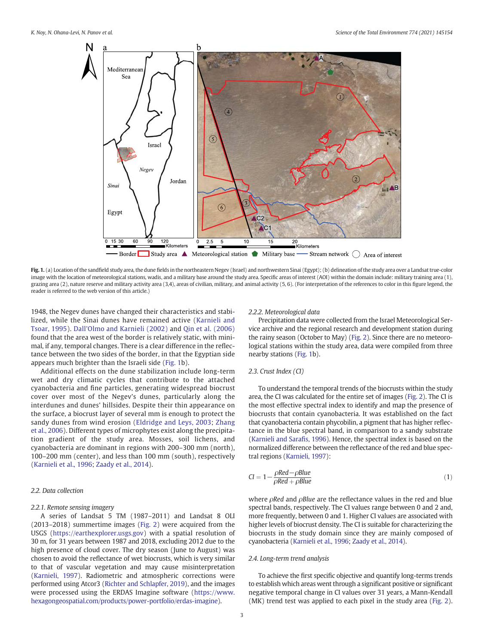<span id="page-2-0"></span>

Fig. 1. (a) Location of the sandfield study area, the dune fields in the northeastern Negev (Israel) and northwestern Sinai (Egypt); (b) delineation of the study area over a Landsat true-color image with the location of meteorological stations, wadis, and a military base around the study area. Specific areas of interest (AOI) within the domain include: military training area (1), grazing area (2), nature reserve and military activity area (3,4), areas of civilian, military, and animal activity (5, 6). (For interpretation of the references to color in this figure legend, the reader is referred to the web version of this article.)

1948, the Negev dunes have changed their characteristics and stabilized, while the Sinai dunes have remained active ([Karnieli and](#page-11-0) [Tsoar, 1995\)](#page-11-0). [Dall'Olmo and Karnieli \(2002\)](#page-11-0) and [Qin et al. \(2006\)](#page-12-0) found that the area west of the border is relatively static, with minimal, if any, temporal changes. There is a clear difference in the reflectance between the two sides of the border, in that the Egyptian side appears much brighter than the Israeli side (Fig. 1b).

Additional effects on the dune stabilization include long-term wet and dry climatic cycles that contribute to the attached cyanobacteria and fine particles, generating widespread biocrust cover over most of the Negev's dunes, particularly along the interdunes and dunes' hillsides. Despite their thin appearance on the surface, a biocrust layer of several mm is enough to protect the sandy dunes from wind erosion ([Eldridge and Leys, 2003](#page-11-0); [Zhang](#page-12-0) [et al., 2006\)](#page-12-0). Different types of microphytes exist along the precipitation gradient of the study area. Mosses, soil lichens, and cyanobacteria are dominant in regions with 200–300 mm (north), 100–200 mm (center), and less than 100 mm (south), respectively ([Karnieli et al., 1996](#page-11-0); [Zaady et al., 2014](#page-12-0)).

#### *2.2. Data collection*

#### *2.2.1. Remote sensing imagery*

A series of Landsat 5 TM (1987–2011) and Landsat 8 OLI (2013–2018) summertime images ([Fig. 2](#page-3-0)) were acquired from the USGS [\(https://earthexplorer.usgs.gov\)](https://earthexplorer.usgs.gov) with a spatial resolution of 30 m, for 31 years between 1987 and 2018, excluding 2012 due to the high presence of cloud cover. The dry season (June to August) was chosen to avoid the reflectance of wet biocrusts, which is very similar to that of vascular vegetation and may cause misinterpretation ([Karnieli, 1997\)](#page-11-0). Radiometric and atmospheric corrections were performed using Atcor3 [\(Richter and Schlapfer, 2019](#page-12-0)), and the images were processed using the ERDAS Imagine software ([https://www.](https://www.hexagongeospatial.com/products/power-portfolio/erdas-imagine) [hexagongeospatial.com/products/power-portfolio/erdas-imagine\)](https://www.hexagongeospatial.com/products/power-portfolio/erdas-imagine).

#### *2.2.2. Meteorological data*

Precipitation data were collected from the Israel Meteorological Service archive and the regional research and development station during the rainy season (October to May) ([Fig. 2](#page-3-0)). Since there are no meteorological stations within the study area, data were compiled from three nearby stations (Fig. 1b).

#### *2.3. Crust Index (CI)*

To understand the temporal trends of the biocrusts within the study area, the CI was calculated for the entire set of images ([Fig. 2](#page-3-0)). The CI is the most effective spectral index to identify and map the presence of biocrusts that contain cyanobacteria. It was established on the fact that cyanobacteria contain phycobilin, a pigment that has higher reflectance in the blue spectral band, in comparison to a sandy substrate ([Karnieli and Sara](#page-11-0)fis, 1996). Hence, the spectral index is based on the normalized difference between the reflectance of the red and blue spectral regions [\(Karnieli, 1997](#page-11-0)):

$$
CI = 1 - \frac{\rho Red - \rho Blue}{\rho Red + \rho Blue}
$$
\n(1)

where ρ*Red* and ρ*Blue* are the reflectance values in the red and blue spectral bands, respectively. The CI values range between 0 and 2 and, more frequently, between 0 and 1. Higher CI values are associated with higher levels of biocrust density. The CI is suitable for characterizing the biocrusts in the study domain since they are mainly composed of cyanobacteria ([Karnieli et al., 1996;](#page-11-0) [Zaady et al., 2014\)](#page-12-0).

#### *2.4. Long-term trend analysis*

To achieve the first specific objective and quantify long-terms trends to establish which areas went through a significant positive or significant negative temporal change in CI values over 31 years, a Mann-Kendall (MK) trend test was applied to each pixel in the study area [\(Fig. 2\)](#page-3-0).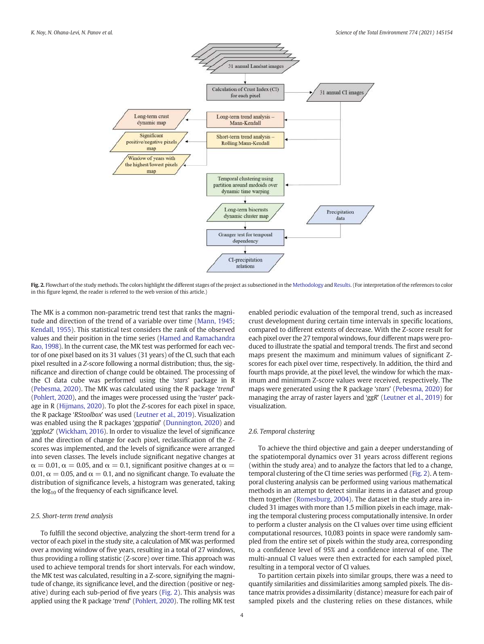<span id="page-3-0"></span>

Fig. 2. Flowchart of the study methods. The colors highlight the different stages of the project as subsectioned in the [Methodology](#page-1-0) and [Results](#page-4-0). (For interpretation of the references to color in this figure legend, the reader is referred to the web version of this article.)

The MK is a common non-parametric trend test that ranks the magnitude and direction of the trend of a variable over time ([Mann, 1945](#page-11-0); [Kendall, 1955\)](#page-11-0). This statistical test considers the rank of the observed values and their position in the time series ([Hamed and Ramachandra](#page-11-0) [Rao, 1998](#page-11-0)). In the current case, the MK test was performed for each vector of one pixel based on its 31 values (31 years) of the CI, such that each pixel resulted in a *Z*-score following a normal distribution; thus, the significance and direction of change could be obtained. The processing of the CI data cube was performed using the '*stars*' package in R ([Pebesma, 2020](#page-12-0)). The MK was calculated using the R package '*trend*' ([Pohlert, 2020\)](#page-12-0), and the images were processed using the '*raster*' package in R ([Hijmans, 2020](#page-11-0)). To plot the *Z*-scores for each pixel in space, the R package '*RStoolbox*' was used ([Leutner et al., 2019](#page-11-0)). Visualization was enabled using the R packages '*ggspatial*' [\(Dunnington, 2020\)](#page-11-0) and '*ggplot2*' [\(Wickham, 2016\)](#page-12-0). In order to visualize the level of significance and the direction of change for each pixel, reclassification of the Zscores was implemented, and the levels of significance were arranged into seven classes. The levels include significant negative changes at  $\alpha = 0.01$ ,  $\alpha = 0.05$ , and  $\alpha = 0.1$ , significant positive changes at  $\alpha =$ 0.01,  $\alpha = 0.05$ , and  $\alpha = 0.1$ , and no significant change. To evaluate the distribution of significance levels, a histogram was generated, taking the  $log_{10}$  of the frequency of each significance level.

### *2.5. Short-term trend analysis*

To fulfill the second objective, analyzing the short-term trend for a vector of each pixel in the study site, a calculation of MK was performed over a moving window of five years, resulting in a total of 27 windows, thus providing a rolling statistic (Z-score) over time. This approach was used to achieve temporal trends for short intervals. For each window, the MK test was calculated, resulting in a Z-score, signifying the magnitude of change, its significance level, and the direction (positive or negative) during each sub-period of five years (Fig. 2). This analysis was applied using the R package '*trend*' ([Pohlert, 2020\)](#page-12-0). The rolling MK test enabled periodic evaluation of the temporal trend, such as increased crust development during certain time intervals in specific locations, compared to different extents of decrease. With the Z-score result for each pixel over the 27 temporal windows, four different maps were produced to illustrate the spatial and temporal trends. The first and second maps present the maximum and minimum values of significant Zscores for each pixel over time, respectively. In addition, the third and fourth maps provide, at the pixel level, the window for which the maximum and minimum Z-score values were received, respectively. The maps were generated using the R package '*stars*' [\(Pebesma, 2020](#page-12-0)) for managing the array of raster layers and '*ggR*' [\(Leutner et al., 2019](#page-11-0)) for visualization.

# *2.6. Temporal clustering*

To achieve the third objective and gain a deeper understanding of the spatiotemporal dynamics over 31 years across different regions (within the study area) and to analyze the factors that led to a change, temporal clustering of the CI time series was performed (Fig. 2). A temporal clustering analysis can be performed using various mathematical methods in an attempt to detect similar items in a dataset and group them together [\(Romesburg, 2004](#page-12-0)). The dataset in the study area included 31 images with more than 1.5 million pixels in each image, making the temporal clustering process computationally intensive. In order to perform a cluster analysis on the CI values over time using efficient computational resources, 10,083 points in space were randomly sampled from the entire set of pixels within the study area, corresponding to a confidence level of 95% and a confidence interval of one. The multi-annual CI values were then extracted for each sampled pixel, resulting in a temporal vector of CI values.

To partition certain pixels into similar groups, there was a need to quantify similarities and dissimilarities among sampled pixels. The distance matrix provides a dissimilarity (distance) measure for each pair of sampled pixels and the clustering relies on these distances, while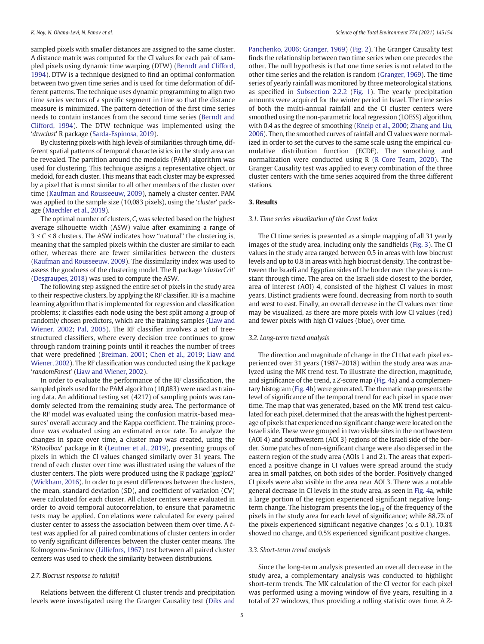<span id="page-4-0"></span>sampled pixels with smaller distances are assigned to the same cluster. A distance matrix was computed for the CI values for each pair of sampled pixels using dynamic time warping (DTW) ([Berndt and Clifford,](#page-11-0) [1994](#page-11-0)). DTW is a technique designed to find an optimal conformation between two given time series and is used for time deformation of different patterns. The technique uses dynamic programming to align two time series vectors of a specific segment in time so that the distance measure is minimized. The pattern detection of the first time series needs to contain instances from the second time series [\(Berndt and](#page-11-0) [Clifford, 1994](#page-11-0)). The DTW technique was implemented using the '*dtwclust*' R package ([Sarda-Espinosa, 2019](#page-12-0)).

By clustering pixels with high levels of similarities through time, different spatial patterns of temporal characteristics in the study area can be revealed. The partition around the medoids (PAM) algorithm was used for clustering. This technique assigns a representative object, or medoid, for each cluster. This means that each cluster may be expressed by a pixel that is most similar to all other members of the cluster over time ([Kaufman and Rousseeuw, 2009\)](#page-11-0), namely a cluster center. PAM was applied to the sample size (10,083 pixels), using the '*cluster*' package [\(Maechler et al., 2019\)](#page-11-0).

The optimal number of clusters, *C*, was selected based on the highest average silhouette width (ASW) value after examining a range of 3 ≤ *C* ≤ 8 clusters. The ASW indicates how "natural" the clustering is, meaning that the sampled pixels within the cluster are similar to each other, whereas there are fewer similarities between the clusters ([Kaufman and Rousseeuw, 2009](#page-11-0)). The dissimilarity index was used to assess the goodness of the clustering model. The R package '*clusterCrit*' ([Desgraupes, 2018](#page-11-0)) was used to compute the ASW.

The following step assigned the entire set of pixels in the study area to their respective clusters, by applying the RF classifier. RF is a machine learning algorithm that is implemented for regression and classification problems; it classifies each node using the best split among a group of randomly chosen predictors, which are the training samples [\(Liaw and](#page-11-0) [Wiener, 2002](#page-11-0); [Pal, 2005](#page-12-0)). The RF classifier involves a set of treestructured classifiers, where every decision tree continues to grow through random training points until it reaches the number of trees that were predefined ([Breiman, 2001](#page-11-0); [Chen et al., 2019](#page-11-0); [Liaw and](#page-11-0) [Wiener, 2002\)](#page-11-0). The RF classification was conducted using the R package '*randomForest*' [\(Liaw and Wiener, 2002](#page-11-0)).

In order to evaluate the performance of the RF classification, the sampled pixels used for the PAM algorithm (10,083) were used as training data. An additional testing set (4217) of sampling points was randomly selected from the remaining study area. The performance of the RF model was evaluated using the confusion matrix-based measures' overall accuracy and the Kappa coefficient. The training procedure was evaluated using an estimated error rate. To analyze the changes in space over time, a cluster map was created, using the '*RStoolbox*' package in R ([Leutner et al., 2019](#page-11-0)), presenting groups of pixels in which the CI values changed similarly over 31 years. The trend of each cluster over time was illustrated using the values of the cluster centers. The plots were produced using the R package '*ggplot2*' ([Wickham, 2016](#page-12-0)). In order to present differences between the clusters, the mean, standard deviation (SD), and coefficient of variation (CV) were calculated for each cluster. All cluster centers were evaluated in order to avoid temporal autocorrelation, to ensure that parametric tests may be applied. Correlations were calculated for every paired cluster center to assess the association between them over time. A *t*test was applied for all paired combinations of cluster centers in order to verify significant differences between the cluster center means. The Kolmogorov-Smirnov [\(Lilliefors, 1967](#page-11-0)) test between all paired cluster centers was used to check the similarity between distributions.

# *2.7. Biocrust response to rainfall*

Relations between the different CI cluster trends and precipitation levels were investigated using the Granger Causality test ([Diks and](#page-11-0) [Panchenko, 2006](#page-11-0); [Granger, 1969\)](#page-11-0) [\(Fig. 2\)](#page-3-0). The Granger Causality test finds the relationship between two time series when one precedes the other. The null hypothesis is that one time series is not related to the other time series and the relation is random [\(Granger, 1969](#page-11-0)). The time series of yearly rainfall was monitored by three meteorological stations, as specified in [Subsection 2.2.2](#page-2-0) ([Fig. 1](#page-2-0)). The yearly precipitation amounts were acquired for the winter period in Israel. The time series of both the multi-annual rainfall and the CI cluster centers were smoothed using the non-parametric local regression (LOESS) algorithm, with 0.4 as the degree of smoothing [\(Kneip et al., 2000](#page-11-0); [Zhang and Liu,](#page-12-0) [2006\)](#page-12-0). Then, the smoothed curves of rainfall and CI values were normalized in order to set the curves to the same scale using the empirical cumulative distribution function (ECDF). The smoothing and normalization were conducted using R [\(R Core Team, 2020\)](#page-12-0). The Granger Causality test was applied to every combination of the three cluster centers with the time series acquired from the three different stations.

## 3. Results

## *3.1. Time series visualization of the Crust Index*

The CI time series is presented as a simple mapping of all 31 yearly images of the study area, including only the sandfields [\(Fig. 3](#page-5-0)). The CI values in the study area ranged between 0.5 in areas with low biocrust levels and up to 0.8 in areas with high biocrust density. The contrast between the Israeli and Egyptian sides of the border over the years is constant through time. The area on the Israeli side closest to the border, area of interest (AOI) 4, consisted of the highest CI values in most years. Distinct gradients were found, decreasing from north to south and west to east. Finally, an overall decrease in the CI values over time may be visualized, as there are more pixels with low CI values (red) and fewer pixels with high CI values (blue), over time.

# *3.2. Long-term trend analysis*

The direction and magnitude of change in the CI that each pixel experienced over 31 years (1987–2018) within the study area was analyzed using the MK trend test. To illustrate the direction, magnitude, and significance of the trend, a *Z*-score map ([Fig. 4a](#page-5-0)) and a complementary histogram ([Fig. 4b](#page-5-0)) were generated. The thematic map presents the level of significance of the temporal trend for each pixel in space over time. The map that was generated, based on the MK trend test calculated for each pixel, determined that the areas with the highest percentage of pixels that experienced no significant change were located on the Israeli side. These were grouped in two visible sites in the northwestern (AOI 4) and southwestern (AOI 3) regions of the Israeli side of the border. Some patches of non-significant change were also dispersed in the eastern region of the study area (AOIs 1 and 2). The areas that experienced a positive change in CI values were spread around the study area in small patches, on both sides of the border. Positively changed CI pixels were also visible in the area near AOI 3. There was a notable general decrease in CI levels in the study area, as seen in [Fig. 4](#page-5-0)a, while a large portion of the region experienced significant negative longterm change. The histogram presents the  $log_{10}$  of the frequency of the pixels in the study area for each level of significance; while 88.7% of the pixels experienced significant negative changes ( $\alpha \leq 0.1$ ), 10.8% showed no change, and 0.5% experienced significant positive changes.

#### *3.3. Short-term trend analysis*

Since the long-term analysis presented an overall decrease in the study area, a complementary analysis was conducted to highlight short-term trends. The MK calculation of the CI vector for each pixel was performed using a moving window of five years, resulting in a total of 27 windows, thus providing a rolling statistic over time. A *Z*-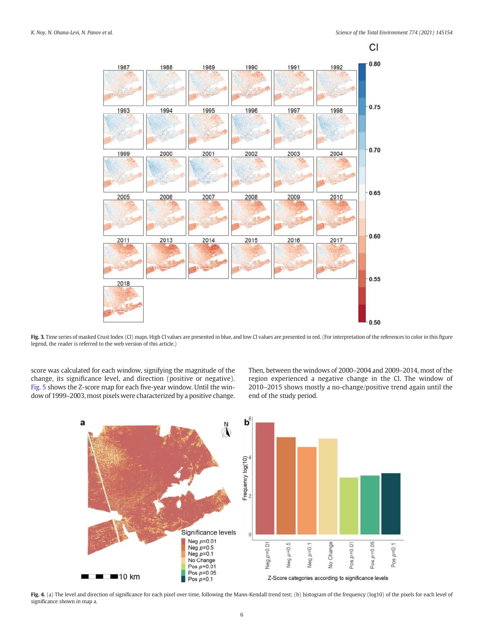<span id="page-5-0"></span>

Fig. 3. Time series of masked Crust Index (CI) maps. High CI values are presented in blue, and low CI values are presented in red. (For interpretation of the references to color in this figure legend, the reader is referred to the web version of this article.)

score was calculated for each window, signifying the magnitude of the change, its significance level, and direction (positive or negative). [Fig. 5](#page-6-0) shows the Z-score map for each five-year window. Until the window of 1999–2003, most pixels were characterized by a positive change. Then, between the windows of 2000–2004 and 2009–2014, most of the region experienced a negative change in the CI. The window of 2010–2015 shows mostly a no-change/positive trend again until the end of the study period.



Fig. 4. (a) The level and direction of significance for each pixel over time, following the Mann-Kendall trend test; (b) histogram of the frequency (log10) of the pixels for each level of significance shown in map a.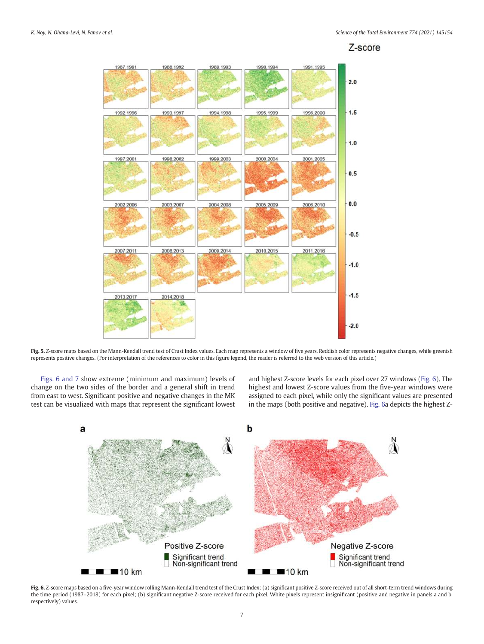<span id="page-6-0"></span>

Fig. 5. Z-score maps based on the Mann-Kendall trend test of Crust Index values. Each map represents a window of five years. Reddish color represents negative changes, while greenish represents positive changes. (For interpretation of the references to color in this figure legend, the reader is referred to the web version of this article.)

Figs. 6 and 7 show extreme (minimum and maximum) levels of change on the two sides of the border and a general shift in trend from east to west. Significant positive and negative changes in the MK test can be visualized with maps that represent the significant lowest

and highest Z-score levels for each pixel over 27 windows (Fig. 6). The highest and lowest Z-score values from the five-year windows were assigned to each pixel, while only the significant values are presented in the maps (both positive and negative). Fig. 6a depicts the highest Z-

![](_page_6_Figure_6.jpeg)

Fig. 6. Z-score maps based on a five-year window rolling Mann-Kendall trend test of the Crust Index: (a) significant positive Z-score received out of all short-term trend windows during the time period (1987-2018) for each pixel; (b) significant negative Z-score received for each pixel. White pixels represent insignificant (positive and negative in panels a and b, respectively) values.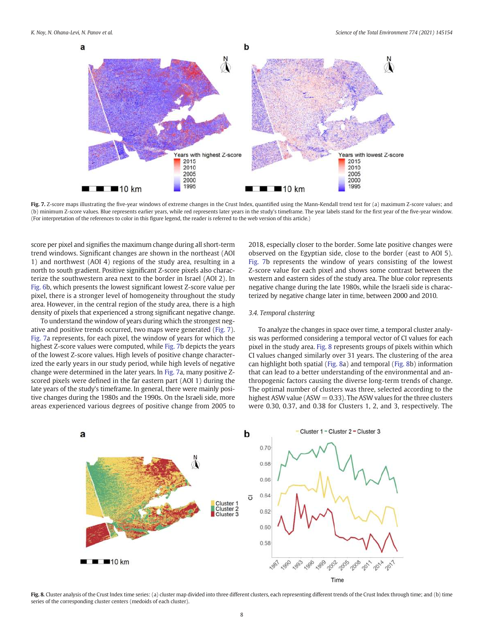<span id="page-7-0"></span>![](_page_7_Figure_2.jpeg)

Fig. 7. Z-score maps illustrating the five-year windows of extreme changes in the Crust Index, quantified using the Mann-Kendall trend test for (a) maximum Z-score values; and (b) minimum Z-score values. Blue represents earlier years, while red represents later years in the study's timeframe. The year labels stand for the first year of the five-year window. (For interpretation of the references to color in this figure legend, the reader is referred to the web version of this article.)

score per pixel and signifies the maximum change during all short-term trend windows. Significant changes are shown in the northeast (AOI 1) and northwest (AOI 4) regions of the study area, resulting in a north to south gradient. Positive significant Z-score pixels also characterize the southwestern area next to the border in Israel (AOI 2). In [Fig. 6b](#page-6-0), which presents the lowest significant lowest Z-score value per pixel, there is a stronger level of homogeneity throughout the study area. However, in the central region of the study area, there is a high density of pixels that experienced a strong significant negative change.

To understand the window of years during which the strongest negative and positive trends occurred, two maps were generated (Fig. 7). Fig. 7a represents, for each pixel, the window of years for which the highest Z-score values were computed, while Fig. 7b depicts the years of the lowest Z-score values. High levels of positive change characterized the early years in our study period, while high levels of negative change were determined in the later years. In Fig. 7a, many positive Zscored pixels were defined in the far eastern part (AOI 1) during the late years of the study's timeframe. In general, there were mainly positive changes during the 1980s and the 1990s. On the Israeli side, more areas experienced various degrees of positive change from 2005 to

2018, especially closer to the border. Some late positive changes were observed on the Egyptian side, close to the border (east to AOI 5). Fig. 7b represents the window of years consisting of the lowest Z-score value for each pixel and shows some contrast between the western and eastern sides of the study area. The blue color represents negative change during the late 1980s, while the Israeli side is characterized by negative change later in time, between 2000 and 2010.

### *3.4. Temporal clustering*

To analyze the changes in space over time, a temporal cluster analysis was performed considering a temporal vector of CI values for each pixel in the study area. Fig. 8 represents groups of pixels within which CI values changed similarly over 31 years. The clustering of the area can highlight both spatial (Fig. 8a) and temporal (Fig. 8b) information that can lead to a better understanding of the environmental and anthropogenic factors causing the diverse long-term trends of change. The optimal number of clusters was three, selected according to the highest ASW value ( $ASW = 0.33$ ). The ASW values for the three clusters were 0.30, 0.37, and 0.38 for Clusters 1, 2, and 3, respectively. The

![](_page_7_Figure_9.jpeg)

Fig. 8. Cluster analysis of the Crust Index time series: (a) cluster map divided into three different clusters, each representing different trends of the Crust Index through time; and (b) time series of the corresponding cluster centers (medoids of each cluster).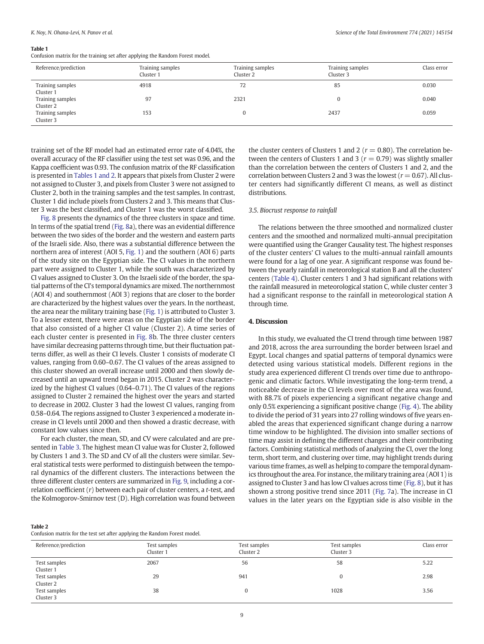#### <span id="page-8-0"></span>Table 1

Confusion matrix for the training set after applying the Random Forest model.

| Reference/prediction          | Training samples<br>Cluster 1 | Training samples<br>Cluster 2 | Training samples<br>Cluster 3 | Class error |
|-------------------------------|-------------------------------|-------------------------------|-------------------------------|-------------|
| Training samples<br>Cluster 1 | 4918                          | 72                            | 85                            | 0.030       |
| Training samples<br>Cluster 2 | 97                            | 2321                          |                               | 0.040       |
| Training samples<br>Cluster 3 | 153                           |                               | 2437                          | 0.059       |

training set of the RF model had an estimated error rate of 4.04%, the overall accuracy of the RF classifier using the test set was 0.96, and the Kappa coefficient was 0.93. The confusion matrix of the RF classification is presented in Tables 1 and 2. It appears that pixels from Cluster 2 were not assigned to Cluster 3, and pixels from Cluster 3 were not assigned to Cluster 2, both in the training samples and the test samples. In contrast, Cluster 1 did include pixels from Clusters 2 and 3. This means that Cluster 3 was the best classified, and Cluster 1 was the worst classified.

[Fig. 8](#page-7-0) presents the dynamics of the three clusters in space and time. In terms of the spatial trend ([Fig. 8](#page-7-0)a), there was an evidential difference between the two sides of the border and the western and eastern parts of the Israeli side. Also, there was a substantial difference between the northern area of interest (AOI 5, [Fig. 1\)](#page-2-0) and the southern (AOI 6) parts of the study site on the Egyptian side. The CI values in the northern part were assigned to Cluster 1, while the south was characterized by CI values assigned to Cluster 3. On the Israeli side of the border, the spatial patterns of the CI's temporal dynamics are mixed. The northernmost (AOI 4) and southernmost (AOI 3) regions that are closer to the border are characterized by the highest values over the years. In the northeast, the area near the military training base ([Fig. 1\)](#page-2-0) is attributed to Cluster 3. To a lesser extent, there were areas on the Egyptian side of the border that also consisted of a higher CI value (Cluster 2). A time series of each cluster center is presented in [Fig. 8b](#page-7-0). The three cluster centers have similar decreasing patterns through time, but their fluctuation patterns differ, as well as their CI levels. Cluster 1 consists of moderate CI values, ranging from 0.60–0.67. The CI values of the areas assigned to this cluster showed an overall increase until 2000 and then slowly decreased until an upward trend began in 2015. Cluster 2 was characterized by the highest CI values (0.64–0.71). The CI values of the regions assigned to Cluster 2 remained the highest over the years and started to decrease in 2002. Cluster 3 had the lowest CI values, ranging from 0.58–0.64. The regions assigned to Cluster 3 experienced a moderate increase in CI levels until 2000 and then showed a drastic decrease, with constant low values since then.

For each cluster, the mean, SD, and CV were calculated and are presented in [Table 3.](#page-9-0) The highest mean CI value was for Cluster 2, followed by Clusters 1 and 3. The SD and CV of all the clusters were similar. Several statistical tests were performed to distinguish between the temporal dynamics of the different clusters. The interactions between the three different cluster centers are summarized in [Fig. 9](#page-9-0), including a correlation coefficient (*r*) between each pair of cluster centers, a *t*-test, and the Kolmogorov-Smirnov test (D). High correlation was found between the cluster centers of Clusters 1 and 2 ( $r = 0.80$ ). The correlation between the centers of Clusters 1 and 3 ( $r = 0.79$ ) was slightly smaller than the correlation between the centers of Clusters 1 and 2, and the correlation between Clusters 2 and 3 was the lowest ( $r = 0.67$ ). All cluster centers had significantly different CI means, as well as distinct distributions.

#### *3.5. Biocrust response to rainfall*

The relations between the three smoothed and normalized cluster centers and the smoothed and normalized multi-annual precipitation were quantified using the Granger Causality test. The highest responses of the cluster centers' CI values to the multi-annual rainfall amounts were found for a lag of one year. A significant response was found between the yearly rainfall in meteorological station B and all the clusters' centers [\(Table 4\)](#page-9-0). Cluster centers 1 and 3 had significant relations with the rainfall measured in meteorological station C, while cluster center 3 had a significant response to the rainfall in meteorological station A through time.

# 4. Discussion

In this study, we evaluated the CI trend through time between 1987 and 2018, across the area surrounding the border between Israel and Egypt. Local changes and spatial patterns of temporal dynamics were detected using various statistical models. Different regions in the study area experienced different CI trends over time due to anthropogenic and climatic factors. While investigating the long-term trend, a noticeable decrease in the CI levels over most of the area was found, with 88.7% of pixels experiencing a significant negative change and only 0.5% experiencing a significant positive change [\(Fig. 4\)](#page-5-0). The ability to divide the period of 31 years into 27 rolling windows of five years enabled the areas that experienced significant change during a narrow time window to be highlighted. The division into smaller sections of time may assist in defining the different changes and their contributing factors. Combining statistical methods of analyzing the CI, over the long term, short term, and clustering over time, may highlight trends during various time frames, as well as helping to compare the temporal dynamics throughout the area. For instance, the military training area (AOI 1) is assigned to Cluster 3 and has low CI values across time [\(Fig. 8](#page-7-0)), but it has shown a strong positive trend since 2011 [\(Fig. 7](#page-7-0)a). The increase in CI values in the later years on the Egyptian side is also visible in the

#### Table 2

Confusion matrix for the test set after applying the Random Forest model.

| Reference/prediction      | Test samples<br>Cluster 1 | Test samples<br>Cluster 2 | Test samples<br>Cluster 3 | Class error |
|---------------------------|---------------------------|---------------------------|---------------------------|-------------|
| Test samples<br>Cluster 1 | 2067                      | 56                        | 58                        | 5.22        |
| Test samples<br>Cluster 2 | 29                        | 941                       |                           | 2.98        |
| Test samples<br>Cluster 3 | 38                        | 0                         | 1028                      | 3.56        |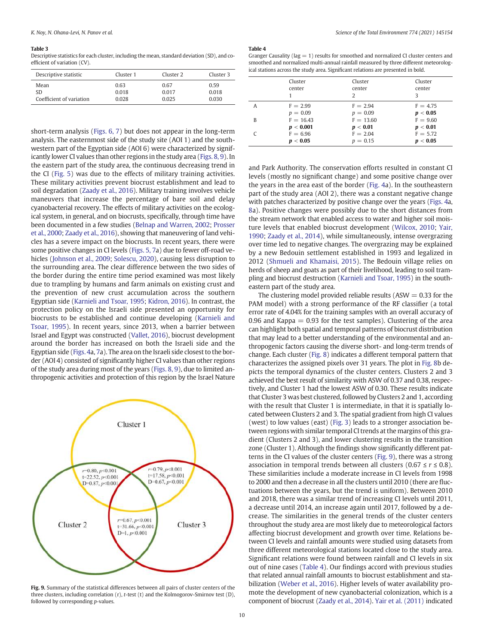#### <span id="page-9-0"></span>Table 3

Descriptive statistics for each cluster, including the mean, standard deviation (SD), and coefficient of variation (CV).

| Descriptive statistic    | Cluster 1 | Cluster <sub>2</sub> | Cluster 3 |
|--------------------------|-----------|----------------------|-----------|
| Mean                     | 0.63      | 0.67                 | 0.59      |
| <b>SD</b>                | 0.018     | 0.017                | 0.018     |
| Coefficient of variation | 0.028     | 0.025                | 0.030     |

short-term analysis [\(Figs. 6, 7](#page-6-0)) but does not appear in the long-term analysis. The easternmost side of the study site (AOI 1) and the southwestern part of the Egyptian side (AOI 6) were characterized by significantly lower CI values than other regions in the study area [\(Figs. 8, 9](#page-7-0)). In the eastern part of the study area, the continuous decreasing trend in the CI ([Fig. 5](#page-6-0)) was due to the effects of military training activities. These military activities prevent biocrust establishment and lead to soil degradation [\(Zaady et al., 2016\)](#page-12-0). Military training involves vehicle maneuvers that increase the percentage of bare soil and delay cyanobacterial recovery. The effects of military activities on the ecological system, in general, and on biocrusts, specifically, through time have been documented in a few studies ([Belnap and Warren, 2002](#page-11-0); [Prosser](#page-12-0) [et al., 2000;](#page-12-0) [Zaady et al., 2016](#page-12-0)), showing that maneuvering of land vehicles has a severe impact on the biocrusts. In recent years, there were some positive changes in CI levels [\(Figs. 5, 7a](#page-6-0)) due to fewer off-road vehicles ([Johnson et al., 2009](#page-11-0); [Solescu, 2020](#page-12-0)), causing less disruption to the surrounding area. The clear difference between the two sides of the border during the entire time period examined was most likely due to trampling by humans and farm animals on existing crust and the prevention of new crust accumulation across the southern Egyptian side [\(Karnieli and Tsoar, 1995;](#page-11-0) [Kidron, 2016](#page-11-0)). In contrast, the protection policy on the Israeli side presented an opportunity for biocrusts to be established and continue developing [\(Karnieli and](#page-11-0) [Tsoar, 1995\)](#page-11-0). In recent years, since 2013, when a barrier between Israel and Egypt was constructed [\(Vallet, 2016\)](#page-12-0), biocrust development around the border has increased on both the Israeli side and the Egyptian side [\(Figs. 4](#page-5-0)a, [7a](#page-7-0)). The area on the Israeli side closest to the border (AOI 4) consisted of significantly higher CI values than other regions of the study area during most of the years [\(Figs. 8, 9](#page-7-0)), due to limited anthropogenic activities and protection of this region by the Israel Nature

![](_page_9_Figure_5.jpeg)

Fig. 9. Summary of the statistical differences between all pairs of cluster centers of the three clusters, including correlation (r), *t*-test (t) and the Kolmogorov-Smirnov test (D), followed by corresponding *p*-values.

#### Table 4

| Granger Causality ( $lag = 1$ ) results for smoothed and normalized CI cluster centers and |
|--------------------------------------------------------------------------------------------|
| smoothed and normalized multi-annual rainfall measured by three different meteorolog-      |
| ical stations across the study area. Significant relations are presented in bold.          |

|   | Cluster     | Cluster     | Cluster    |
|---|-------------|-------------|------------|
|   | center      | center      | center     |
|   |             | 2           | 3          |
| A | $F = 2.99$  | $F = 2.94$  | $F = 4.75$ |
|   | $p = 0.09$  | $p = 0.09$  | p < 0.05   |
| B | $F = 16.43$ | $F = 13.60$ | $F = 9.60$ |
|   | p < 0.001   | p < 0.01    | p < 0.01   |
|   | $F = 6.96$  | $F = 2.04$  | $F = 5.72$ |
|   | p < 0.05    | $p = 0.15$  | p < 0.05   |

and Park Authority. The conservation efforts resulted in constant CI levels (mostly no significant change) and some positive change over the years in the area east of the border ([Fig. 4](#page-5-0)a). In the southeastern part of the study area (AOI 2), there was a constant negative change with patches characterized by positive change over the years [\(Figs. 4](#page-5-0)a, [8a](#page-7-0)). Positive changes were possibly due to the short distances from the stream network that enabled access to water and higher soil moisture levels that enabled biocrust development ([Wilcox, 2010;](#page-12-0) [Yair,](#page-12-0) [1990;](#page-12-0) [Zaady et al., 2014\)](#page-12-0), while simultaneously, intense overgrazing over time led to negative changes. The overgrazing may be explained by a new Bedouin settlement established in 1993 and legalized in 2012 [\(Shmueli and Khamaisi, 2015\)](#page-12-0). The Bedouin village relies on herds of sheep and goats as part of their livelihood, leading to soil trampling and biocrust destruction [\(Karnieli and Tsoar, 1995](#page-11-0)) in the southeastern part of the study area.

The clustering model provided reliable results ( $ASW = 0.33$  for the PAM model) with a strong performance of the RF classifier (a total error rate of 4.04% for the training samples with an overall accuracy of 0.96 and Kappa  $= 0.93$  for the test samples). Clustering of the area can highlight both spatial and temporal patterns of biocrust distribution that may lead to a better understanding of the environmental and anthropogenic factors causing the diverse short- and long-term trends of change. Each cluster [\(Fig. 8](#page-7-0)) indicates a different temporal pattern that characterizes the assigned pixels over 31 years. The plot in [Fig. 8](#page-7-0)b depicts the temporal dynamics of the cluster centers. Clusters 2 and 3 achieved the best result of similarity with ASW of 0.37 and 0.38, respectively, and Cluster 1 had the lowest ASW of 0.30. These results indicate that Cluster 3 was best clustered, followed by Clusters 2 and 1, according with the result that Cluster 1 is intermediate, in that it is spatially located between Clusters 2 and 3. The spatial gradient from high CI values (west) to low values (east) ([Fig. 3\)](#page-5-0) leads to a stronger association between regions with similar temporal CI trends at the margins of this gradient (Clusters 2 and 3), and lower clustering results in the transition zone (Cluster 1). Although the findings show significantly different patterns in the CI values of the cluster centers (Fig. 9), there was a strong association in temporal trends between all clusters  $(0.67 \le r \le 0.8)$ . These similarities include a moderate increase in CI levels from 1998 to 2000 and then a decrease in all the clusters until 2010 (there are fluctuations between the years, but the trend is uniform). Between 2010 and 2018, there was a similar trend of increasing CI levels until 2011, a decrease until 2014, an increase again until 2017, followed by a decrease. The similarities in the general trends of the cluster centers throughout the study area are most likely due to meteorological factors affecting biocrust development and growth over time. Relations between CI levels and rainfall amounts were studied using datasets from three different meteorological stations located close to the study area. Significant relations were found between rainfall and CI levels in six out of nine cases (Table 4). Our findings accord with previous studies that related annual rainfall amounts to biocrust establishment and stabilization [\(Weber et al., 2016](#page-12-0)). Higher levels of water availability promote the development of new cyanobacterial colonization, which is a component of biocrust [\(Zaady et al., 2014](#page-12-0)). [Yair et al. \(2011\)](#page-12-0) indicated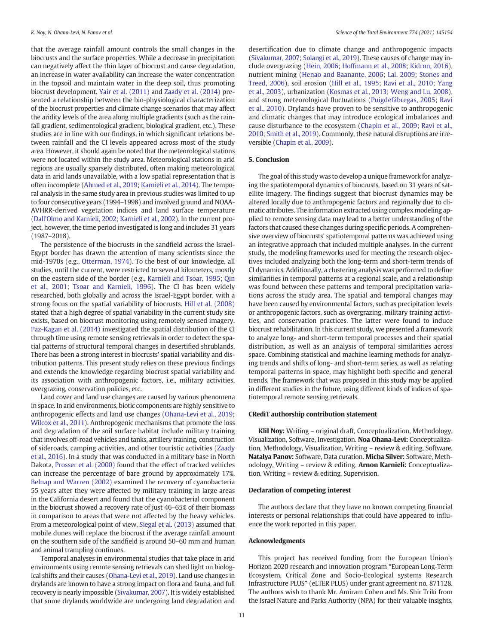<span id="page-10-0"></span>that the average rainfall amount controls the small changes in the biocrusts and the surface properties. While a decrease in precipitation can negatively affect the thin layer of biocrust and cause degradation, an increase in water availability can increase the water concentration in the topsoil and maintain water in the deep soil, thus promoting biocrust development. [Yair et al. \(2011\)](#page-12-0) and [Zaady et al. \(2014\)](#page-12-0) presented a relationship between the bio-physiological characterization of the biocrust properties and climate change scenarios that may affect the aridity levels of the area along multiple gradients (such as the rainfall gradient, sedimentological gradient, biological gradient, etc.). These studies are in line with our findings, in which significant relations between rainfall and the CI levels appeared across most of the study area. However, it should again be noted that the meteorological stations were not located within the study area. Meteorological stations in arid regions are usually sparsely distributed, often making meteorological data in arid lands unavailable, with a low spatial representation that is often incomplete ([Ahmed et al., 2019](#page-11-0); [Karnieli et al., 2014](#page-11-0)). The temporal analysis in the same study area in previous studies was limited to up to four consecutive years (1994–1998) and involved ground and NOAA-AVHRR-derived vegetation indices and land surface temperature ([Dall'Olmo and Karnieli, 2002](#page-11-0); [Karnieli et al., 2002\)](#page-11-0). In the current project, however, the time period investigated is long and includes 31 years (1987–2018).

The persistence of the biocrusts in the sandfield across the Israel-Egypt border has drawn the attention of many scientists since the mid-1970s (e.g., [Otterman, 1974\)](#page-11-0). To the best of our knowledge, all studies, until the current, were restricted to several kilometers, mostly on the eastern side of the border (e.g., [Karnieli and Tsoar, 1995](#page-11-0); [Qin](#page-12-0) [et al., 2001;](#page-12-0) [Tsoar and Karnieli, 1996\)](#page-12-0). The CI has been widely researched, both globally and across the Israel-Egypt border, with a strong focus on the spatial variability of biocrusts. [Hill et al. \(2008\)](#page-11-0) stated that a high degree of spatial variability in the current study site exists, based on biocrust monitoring using remotely sensed imagery. [Paz-Kagan et al. \(2014\)](#page-12-0) investigated the spatial distribution of the CI through time using remote sensing retrievals in order to detect the spatial patterns of structural temporal changes in desertified shrublands. There has been a strong interest in biocrusts' spatial variability and distribution patterns. This present study relies on these previous findings and extends the knowledge regarding biocrust spatial variability and its association with anthropogenic factors, i.e., military activities, overgrazing, conservation policies, etc.

Land cover and land use changes are caused by various phenomena in space. In arid environments, biotic components are highly sensitive to anthropogenic effects and land use changes ([Ohana-Levi et al., 2019](#page-11-0); [Wilcox et al., 2011\)](#page-12-0). Anthropogenic mechanisms that promote the loss and degradation of the soil surface habitat include military training that involves off-road vehicles and tanks, artillery training, construction of sideroads, camping activities, and other touristic activities [\(Zaady](#page-12-0) [et al., 2016](#page-12-0)). In a study that was conducted in a military base in North Dakota, [Prosser et al. \(2000\)](#page-12-0) found that the effect of tracked vehicles can increase the percentage of bare ground by approximately 17%. [Belnap and Warren \(2002\)](#page-11-0) examined the recovery of cyanobacteria 55 years after they were affected by military training in large areas in the California desert and found that the cyanobacterial component in the biocrust showed a recovery rate of just 46–65% of their biomass in comparison to areas that were not affected by the heavy vehicles. From a meteorological point of view, [Siegal et al. \(2013\)](#page-12-0) assumed that mobile dunes will replace the biocrust if the average rainfall amount on the southern side of the sandfield is around 50–60 mm and human and animal trampling continues.

Temporal analyses in environmental studies that take place in arid environments using remote sensing retrievals can shed light on biological shifts and their causes ([Ohana-Levi et al., 2019\)](#page-11-0). Land use changes in drylands are known to have a strong impact on flora and fauna, and full recovery is nearly impossible ([Sivakumar, 2007](#page-12-0)). It is widely established that some drylands worldwide are undergoing land degradation and desertification due to climate change and anthropogenic impacts ([Sivakumar, 2007;](#page-12-0) [Solangi et al., 2019](#page-12-0)). These causes of change may include overgrazing ([Hein, 2006](#page-11-0); [Hoffmann et al., 2008;](#page-11-0) [Kidron, 2016\)](#page-11-0), nutrient mining ([Henao and Baanante, 2006;](#page-11-0) [Lal, 2009;](#page-11-0) [Stones and](#page-12-0) [Treed, 2006](#page-12-0)), soil erosion ([Hill et al., 1995;](#page-11-0) [Ravi et al., 2010](#page-12-0); [Yang](#page-12-0) [et al., 2003](#page-12-0)), urbanization ([Kosmas et al., 2013](#page-11-0); [Weng and Lu, 2008\)](#page-12-0), and strong meteorological fluctuations ([Puigdefábregas, 2005;](#page-12-0) [Ravi](#page-12-0) [et al., 2010\)](#page-12-0). Drylands have proven to be sensitive to anthropogenic and climatic changes that may introduce ecological imbalances and cause disturbance to the ecosystem [\(Chapin et al., 2009;](#page-11-0) [Ravi et al.,](#page-12-0) [2010;](#page-12-0) [Smith et al., 2019](#page-12-0)). Commonly, these natural disruptions are irreversible [\(Chapin et al., 2009\)](#page-11-0).

# 5. Conclusion

The goal of this study was to develop a unique framework for analyzing the spatiotemporal dynamics of biocrusts, based on 31 years of satellite imagery. The findings suggest that biocrust dynamics may be altered locally due to anthropogenic factors and regionally due to climatic attributes. The information extracted using complex modeling applied to remote sensing data may lead to a better understanding of the factors that caused these changes during specific periods. A comprehensive overview of biocrusts' spatiotemporal patterns was achieved using an integrative approach that included multiple analyses. In the current study, the modeling frameworks used for meeting the research objectives included analyzing both the long-term and short-term trends of CI dynamics. Additionally, a clustering analysis was performed to define similarities in temporal patterns at a regional scale, and a relationship was found between these patterns and temporal precipitation variations across the study area. The spatial and temporal changes may have been caused by environmental factors, such as precipitation levels or anthropogenic factors, such as overgrazing, military training activities, and conservation practices. The latter were found to induce biocrust rehabilitation. In this current study, we presented a framework to analyze long- and short-term temporal processes and their spatial distribution, as well as an analysis of temporal similarities across space. Combining statistical and machine learning methods for analyzing trends and shifts of long- and short-term series, as well as relating temporal patterns in space, may highlight both specific and general trends. The framework that was proposed in this study may be applied in different studies in the future, using different kinds of indices of spatiotemporal remote sensing retrievals.

# CRediT authorship contribution statement

Klil Noy: Writing – original draft, Conceptualization, Methodology, Visualization, Software, Investigation. Noa Ohana-Levi: Conceptualization, Methodology, Visualization, Writing – review & editing, Software. Natalya Panov: Software, Data curation. Micha Silver: Software, Methodology, Writing - review & editing. Arnon Karnieli: Conceptualization, Writing – review & editing, Supervision.

#### Declaration of competing interest

The authors declare that they have no known competing financial interests or personal relationships that could have appeared to influence the work reported in this paper.

#### Acknowledgments

This project has received funding from the European Union's Horizon 2020 research and innovation program "European Long-Term Ecosystem, Critical Zone and Socio-Ecological systems Research Infrastructure PLUS" (eLTER PLUS) under grant agreement no. 871128. The authors wish to thank Mr. Amiram Cohen and Ms. Shir Triki from the Israel Nature and Parks Authority (NPA) for their valuable insights,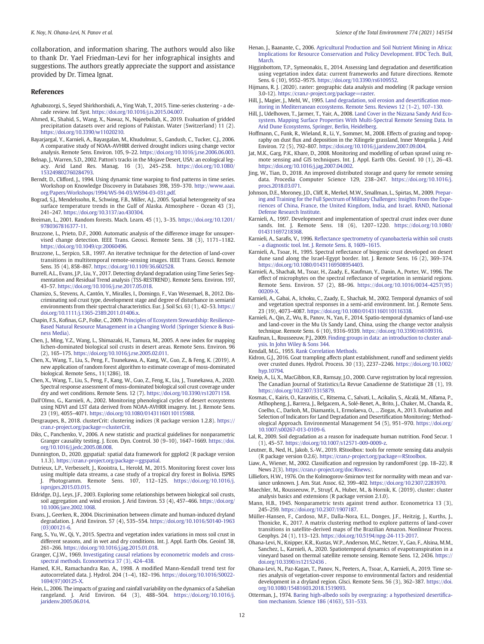<span id="page-11-0"></span>collaboration, and information sharing. The authors would also like to thank Dr. Yael Friedman-Levi for her infographical insights and suggestions. The authors greatly appreciate the support and assistance provided by Dr. Timea Ignat.

#### References

- Aghabozorgi, S., Seyed Shirkhorshidi, A., Ying Wah, T., 2015. Time-series clustering a decade review. Inf. Syst. [https://doi.org/10.1016/j.is.2015.04.007.](https://doi.org/10.1016/j.is.2015.04.007)
- Ahmed, K., Shahid, S., Wang, X., Nawaz, N., Najeebullah, K., 2019. Evaluation of gridded precipitation datasets over arid regions of Pakistan. Water (Switzerland) 11 (2). [https://doi.org/10.3390/w11020210.](https://doi.org/10.3390/w11020210)
- Bayarjargal, Y., Karnieli, A., Bayasgalan, M., Khudulmur, S., Gandush, C., Tucker, C.J., 2006. A comparative study of NOAA-AVHRR derived drought indices using change vector analysis. Remote Sens. Environ. 105, 9–22. [https://doi.org/10.1016/j.rse.2006.06.003.](https://doi.org/10.1016/j.rse.2006.06.003)
- Belnap, J., Warren, S.D., 2002. Patton's tracks in the Mojave Desert, USA: an ecological legacy. Arid Land Res. Manag. 16 (3), 245–258. [https://doi.org/10.1080/](https://doi.org/10.1080/153249802760284793) [153249802760284793](https://doi.org/10.1080/153249802760284793).
- Berndt, D., Clifford, J., 1994. Using dynamic time warping to find patterns in time series. Workshop on Knowledge Discovery in Databases 398, 359–370. [http://www.aaai.](http://www.aaai.org/Papers/Workshops/1994/WS-94-03/WS94-03-031.pdf) [org/Papers/Workshops/1994/WS-94-03/WS94-03-031.pdf](http://www.aaai.org/Papers/Workshops/1994/WS-94-03/WS94-03-031.pdf).
- Bograd, S.J., Mendelssohn, R., Schwing, F.B., Miller, A.J., 2005. Spatial heterogeneity of sea surface temperature trends in the Gulf of Alaska. Atmosphere - Ocean 43 (3), 241–247. [https://doi.org/10.3137/ao.430304.](https://doi.org/10.3137/ao.430304)
- Breiman, L., 2001. Random forests. Mach. Learn. 45 (1), 3–35. [https://doi.org/10.1201/](https://doi.org/10.1201/9780367816377-11) [9780367816377-11.](https://doi.org/10.1201/9780367816377-11)
- Bruzzone, L., Prieto, D.F., 2000. Automatic analysis of the difference image for unsupervised change detection. IEEE Trans. Geosci. Remote Sens. 38 (3), 1171–1182. <https://doi.org/10.1049/cp:20060496>.
- Bruzzone, L., Serpico, S.B., 1997. An iterative technique for the detection of land-cover transitions in multitemporal remote-sensing images. IEEE Trans. Geosci. Remote Sens. 35 (4), 858–867. <https://doi.org/10.1109/36.602528>.
- Burrell, A.L., Evans, J.P., Liu, Y., 2017. Detecting dryland degradation using Time Series Segmentation and Residual Trend analysis (TSS-RESTREND). Remote Sens. Environ. 197, 43–57. [https://doi.org/10.1016/j.rse.2017.05.018.](https://doi.org/10.1016/j.rse.2017.05.018)
- Chamizo, S., Stevens, A., Cantón, Y., Miralles, I., Domingo, F., Van Wesemael, B., 2012. Discriminating soil crust type, development stage and degree of disturbance in semiarid environments from their spectral characteristics. Eur. J. Soil Sci. 63 (1), 42–53. [https://](https://doi.org/10.1111/j.1365-2389.2011.01406.x) [doi.org/10.1111/j.1365-2389.2011.01406.x.](https://doi.org/10.1111/j.1365-2389.2011.01406.x)
- Chapin, F.S., Kofinas, G.P., Folke, C., 2009. [Principles of Ecosystem Stewardship: Resilience-](http://refhub.elsevier.com/S0048-9697(21)00220-5/rf0055)[Based Natural Resource Management in a Changing World \(Springer Science & Busi](http://refhub.elsevier.com/S0048-9697(21)00220-5/rf0055)[ness Media\).](http://refhub.elsevier.com/S0048-9697(21)00220-5/rf0055)
- Chen, J., Ming, Y.Z., Wang, L., Shimazaki, H., Tamura, M., 2005. A new index for mapping lichen-dominated biological soil crusts in desert areas. Remote Sens. Environ. 96 (2), 165–175. <https://doi.org/10.1016/j.rse.2005.02.011>.
- Chen, X., Wang, T., Liu, S., Peng, F., Tsunekawa, A., Kang, W., Guo, Z., & Feng, K. (2019). A new application of random forest algorithm to estimate coverage of moss-dominated biological. Remote Sens., 11(1286), 18.
- Chen, X., Wang, T., Liu, S., Peng, F., Kang, W., Guo, Z., Feng, K., Liu, J., Tsunekawa, A., 2020. Spectral response assessment of moss-dominated biological soil crust coverage under dry and wet conditions. Remote Sens. 12 (7). <https://doi.org/10.3390/rs12071158>.
- Dall'Olmo, G., Karnieli, A., 2002. Monitoring phenological cycles of desert ecosystems using NDVI and LST data derived from NOAA-AVHRR imagery. Int. J. Remote Sens. 23 (19), 4055–4071. [https://doi.org/10.1080/01431160110115988.](https://doi.org/10.1080/01431160110115988)
- Desgraupes, B., 2018. clusterCrit: clustering indices (R package version 1.2.8). [https://](https://cran.r-project.org/package=clusterCrit) [cran.r-project.org/package=clusterCrit.](https://cran.r-project.org/package=clusterCrit)
- Diks, C., Panchenko, V., 2006. A new statistic and practical guidelines for nonparametric Granger causality testing. J. Econ. Dyn. Control. 30 (9–10), 1647–1669. [https://doi.](https://doi.org/10.1016/j.jedc.2005.08.008) [org/10.1016/j.jedc.2005.08.008](https://doi.org/10.1016/j.jedc.2005.08.008).
- Dunnington, D., 2020. ggspatial: spatial data framework for ggplot2 (R package version 1.1.3). <https://cran.r-project.org/package=ggspatial>.
- Dutrieux, L.P., Verbesselt, J., Kooistra, L., Herold, M., 2015. Monitoring forest cover loss using multiple data streams, a case study of a tropical dry forest in Bolivia. ISPRS Photogramm. Remote Sens. 107, 112-125. [https://doi.org/10.1016/j.](https://doi.org/10.1016/j.isprsjprs.2015.03.015) [isprsjprs.2015.03.015](https://doi.org/10.1016/j.isprsjprs.2015.03.015).
- Eldridge, D.J., Leys, J.F., 2003. Exploring some relationships between biological soil crusts, soil aggregation and wind erosion. J. Arid Environ. 53 (4), 457–466. [https://doi.org/](https://doi.org/10.1006/jare.2002.1068) [10.1006/jare.2002.1068.](https://doi.org/10.1006/jare.2002.1068)
- Evans, J., Geerken, R., 2004. Discrimination between climate and human-induced dryland degradation. J. Arid Environ. 57 (4), 535–554. [https://doi.org/10.1016/S0140-1963](https://doi.org/10.1016/S0140-1963(03)00121-6) [\(03\)00121-6](https://doi.org/10.1016/S0140-1963(03)00121-6)
- Fang, S., Yu, W., Qi, Y., 2015. Spectra and vegetation index variations in moss soil crust in different seasons, and in wet and dry conditions. Int. J. Appl. Earth Obs. Geoinf. 38, 261–266. [https://doi.org/10.1016/j.jag.2015.01.018.](https://doi.org/10.1016/j.jag.2015.01.018)
- Granger, C.J.W., 1969. [Investigating causal relations by econometric models and cross](http://refhub.elsevier.com/S0048-9697(21)00220-5/rf0110)[spectral methods. Econometrica 37 \(3\), 424](http://refhub.elsevier.com/S0048-9697(21)00220-5/rf0110)–438.
- Hamed, K.H., Ramachandra Rao, A., 1998. A modified Mann-Kendall trend test for autocorrelated data. J. Hydrol. 204 (1–4), 182–196. [https://doi.org/10.1016/S0022-](https://doi.org/10.1016/S0022-1694(97)00125-X) [1694\(97\)00125-X](https://doi.org/10.1016/S0022-1694(97)00125-X).
- Hein, L., 2006. The impacts of grazing and rainfall variability on the dynamics of a Sahelian rangeland. J. Arid Environ. 64 (3), 488–504. [https://doi.org/10.1016/j.](https://doi.org/10.1016/j.jaridenv.2005.06.014) [jaridenv.2005.06.014](https://doi.org/10.1016/j.jaridenv.2005.06.014).
- Henao, J., Baanante, C., 2006. [Agricultural Production and Soil Nutrient Mining in Africa:](http://refhub.elsevier.com/S0048-9697(21)00220-5/rf0125) [Implications for Resource Conservation and Policy Development. IFDC Tech. Bull,](http://refhub.elsevier.com/S0048-9697(21)00220-5/rf0125) [March](http://refhub.elsevier.com/S0048-9697(21)00220-5/rf0125).
- Higginbottom, T.P., Symeonakis, E., 2014. Assessing land degradation and desertification using vegetation index data: current frameworks and future directions. Remote Sens. 6 (10), 9552–9575. [https://doi.org/10.3390/rs6109552.](https://doi.org/10.3390/rs6109552)
- Hijmans, R. J. (2020). raster: geographic data analysis and modeling (R package version 3.0-12). <https://cran.r-project.org/package=raster>.
- Hill, J., Magier, J., Mehl, W., 1995. [Land degradation, soil erosion and deserti](http://refhub.elsevier.com/S0048-9697(21)00220-5/rf0135)fication mon[itoring in Mediterranean ecosystems. Remote Sens. Reviews 12 \(1](http://refhub.elsevier.com/S0048-9697(21)00220-5/rf0135)–2), 107–130.
- Hill, J., Udelhoven, T., Jarmer, T., Yair, A., 2008. [Land Cover in the Nizzana Sandy Arid Eco](http://refhub.elsevier.com/S0048-9697(21)00220-5/rf0140)[system. Mapping Surface Properties With Multi-Spectral Remote Sensing Data. In](http://refhub.elsevier.com/S0048-9697(21)00220-5/rf0140) [Arid Dune Ecosystems, Springer, Berlin, Heidelberg](http://refhub.elsevier.com/S0048-9697(21)00220-5/rf0140).
- Hoffmann, C., Funk, R., Wieland, R., Li, Y., Sommer, M., 2008. Effects of grazing and topography on dust flux and deposition in the Xilingele grassland, Inner Mongolia. J. Arid Environ. 72 (5), 792–807. <https://doi.org/10.1016/j.jaridenv.2007.09.004>.
- Jat, M.K., Garg, P.K., Khare, D., 2008. Monitoring and modelling of urban sprawl using remote sensing and GIS techniques. Int. J. Appl. Earth Obs. Geoinf. 10 (1), 26–43. [https://doi.org/10.1016/j.jag.2007.04.002.](https://doi.org/10.1016/j.jag.2007.04.002)
- Jing, W., Tian, D., 2018. An improved distributed storage and query for remote sensing data. Procedia Computer Science 129, 238–247. [https://doi.org/10.1016/j.](https://doi.org/10.1016/j.procs.2018.03.071) [procs.2018.03.071](https://doi.org/10.1016/j.procs.2018.03.071).
- Johnson, D.E., Moroney, J.D., Cliff, R., Merkel, M.W., Smallman, L., Spirtas, M., 2009. [Prepar](http://refhub.elsevier.com/S0048-9697(21)00220-5/rf0160)[ing and Training for the Full Spectrum of Military Challenges: Insights From the Expe](http://refhub.elsevier.com/S0048-9697(21)00220-5/rf0160)[riences of China, France, the United Kingdom, India, and Israel. RAND, National](http://refhub.elsevier.com/S0048-9697(21)00220-5/rf0160) [Defense Research Institute](http://refhub.elsevier.com/S0048-9697(21)00220-5/rf0160).
- Karnieli, A., 1997. Development and implementation of spectral crust index over dune sands. Int. J. Remote Sens. 18 (6), 1207–1220. [https://doi.org/10.1080/](https://doi.org/10.1080/014311697218368) [014311697218368](https://doi.org/10.1080/014311697218368).
- Karnieli, A., Sarafis, V., 1996. Refl[ectance spectrometry of cyanobacteria within soil crusts](http://refhub.elsevier.com/S0048-9697(21)00220-5/rf0170) [- a diagnostic tool. Int. J. Remote Sens. 8, 1609](http://refhub.elsevier.com/S0048-9697(21)00220-5/rf0170)–1615.
- Karnieli, A., Tsoar, H., 1995. Spectral reflectance of biogenic crust developed on desert dune sand along the Israel-Egypt border. Int. J. Remote Sens. 16 (2), 369–374. <https://doi.org/10.1080/01431169508954403>.
- Karnieli, A., Shachak, M., Tsoar, H., Zaady, E., Kaufman, Y., Danin, A., Porter, W., 1996. The effect of microphytes on the spectral reflectance of vegetation in semiarid regions. Remote Sens. Environ. 57 (2), 88–96. [https://doi.org/10.1016/0034-4257\(95\)](https://doi.org/10.1016/0034-4257(95)00209-X) [00209-X](https://doi.org/10.1016/0034-4257(95)00209-X).
- Karnieli, A., Gabai, A., Ichoku, C., Zaady, E., Shachak, M., 2002. Temporal dynamics of soil and vegetation spectral responses in a semi-arid environment. Int. J. Remote Sens. 23 (19), 4073–4087. [https://doi.org/10.1080/01431160110116338.](https://doi.org/10.1080/01431160110116338)
- Karnieli, A., Qin, Z., Wu, B., Panov, N., Yan, F., 2014. Spatio-temporal dynamics of land-use and land-cover in the Mu Us Sandy Land, China, using the change vector analysis technique. Remote Sens. 6 (10), 9316–9339. [https://doi.org/10.3390/rs6109316.](https://doi.org/10.3390/rs6109316)
- Kaufman, L., Rousseeuw, P.J., 2009. [Finding groups in data: an introduction to cluster anal](http://refhub.elsevier.com/S0048-9697(21)00220-5/rf0195)[ysis. In John Wiley & Sons 344.](http://refhub.elsevier.com/S0048-9697(21)00220-5/rf0195)
- Kendall, M.G., 1955. [Rank Correlation Methods.](http://refhub.elsevier.com/S0048-9697(21)00220-5/rf0200)
- Kidron, G.J., 2016. Goat trampling affects plant establishment, runoff and sediment yields over crusted dunes. Hydrol. Process. 30 (13), 2237–2246. [https://doi.org/10.1002/](https://doi.org/10.1002/hyp.10794) [hyp.10794.](https://doi.org/10.1002/hyp.10794)
- Kneip, A., Li, X., MacGibbon, K.B., Ramsay, J.O., 2000. Curve registration by local regression. The Canadian Journal of Statistics/La Revue Canadienne de Statistique 28 (1), 19. [https://doi.org/10.2307/3315879.](https://doi.org/10.2307/3315879)
- Kosmas, C., Kairis, O., Karavitis, C., Ritsema, C., Salvati, L., Acikalin, S., Alcalá, M., Alfama, P., Atlhopheng, J., Barrera, J., Belgacem, A., Solé-Benet, A., Brito, J., Chaker, M., Chanda, R., Coelho, C., Darkoh, M., Diamantis, I., Ermolaeva, O., ... Ziogas, A., 2013. Evaluation and Selection of Indicators for Land Degradation and Desertification Monitoring: Methodological Approach. Environmental Management 54 (5), 951–970. [https://doi.org/](https://doi.org/10.1007/s00267-013-0109-6) [10.1007/s00267-013-0109-6](https://doi.org/10.1007/s00267-013-0109-6).
- Lal, R., 2009. Soil degradation as a reason for inadequate human nutrition. Food Secur. 1 (1), 45–57. <https://doi.org/10.1007/s12571-009-0009-z>.
- Leutner, B., Ned, H., Jakob, S.-W., 2019. RStoolbox: tools for remote sensing data analysis (R package version 0.2.6). [https://cran.r-project.org/package=RStoolbox.](https://cran.r-project.org/package=RStoolbox)
- Liaw, A., Wiener, M., 2002. Classification and regression by randomForest (pp. 18–22). R News 2(3). [https://cran.r-project.org/doc/Rnews/.](https://cran.r-project.org/doc/Rnews/)
- Lilliefors, H.W., 1976. On the Kolmogorov-Smirnov test for normality with mean and variance unknown. J. Am. Stat. Assoc. 62, 399–402. <https://doi.org/10.2307/2283970>.
- Maechler, M., Rousseeuw, P., Struyf, A., Huber, M., & Hornik, K. (2019). cluster: cluster analysis basics and extensions (R package version 2.1.0).
- Mann, H.B., 1945. Nonparametric tests against trend author. Econometrica 13 (3), 245–259. <https://doi.org/10.2307/1907187>.
- Müller-Hansen, F., Cardoso, M.F., Dalla-Nora, E.L., Donges, J.F., Heitzig, J., Kurths, J., Thonicke, K., 2017. A matrix clustering method to explore patterns of land-cover transitions in satellite-derived maps of the Brazilian Amazon. Nonlinear Process. Geophys. 24 (1), 113–123. [https://doi.org/10.5194/npg-24-113-2017.](https://doi.org/10.5194/npg-24-113-2017)
- Ohana-Levi, N., Knipper, K.R., Kustas, W.P., Anderson, M.C., Netzer, Y., Gao, F., Alsina, M.M., Sanchez, L., Karnieli, A., 2020. Spatiotemporal dynamics of evapotranspiration in a vineyard based on thermal satellite remote sensing. Remote Sens. 12, 2436. [https://](https://doi.org/10.3390/rs12152436 ) [doi.org/10.3390/rs12152436](https://doi.org/10.3390/rs12152436 ) .
- Ohana-Levi, N., Paz-Kagan, T., Panov, N., Peeters, A., Tsoar, A., Karnieli, A., 2019. Time series analysis of vegetation-cover response to environmental factors and residential development in a dryland region. GIsci. Remote Sens. 56 (3), 362–387. [https://doi.](https://doi.org/10.1080/15481603.2018.1519093) [org/10.1080/15481603.2018.1519093.](https://doi.org/10.1080/15481603.2018.1519093)
- Otterman, J., 1974. [Baring high-albedo soils by overgrazing: a hypothesized deserti](http://refhub.elsevier.com/S0048-9697(21)00220-5/rf0260)fica[tion mechanism. Science 186 \(4163\), 531](http://refhub.elsevier.com/S0048-9697(21)00220-5/rf0260)–533.